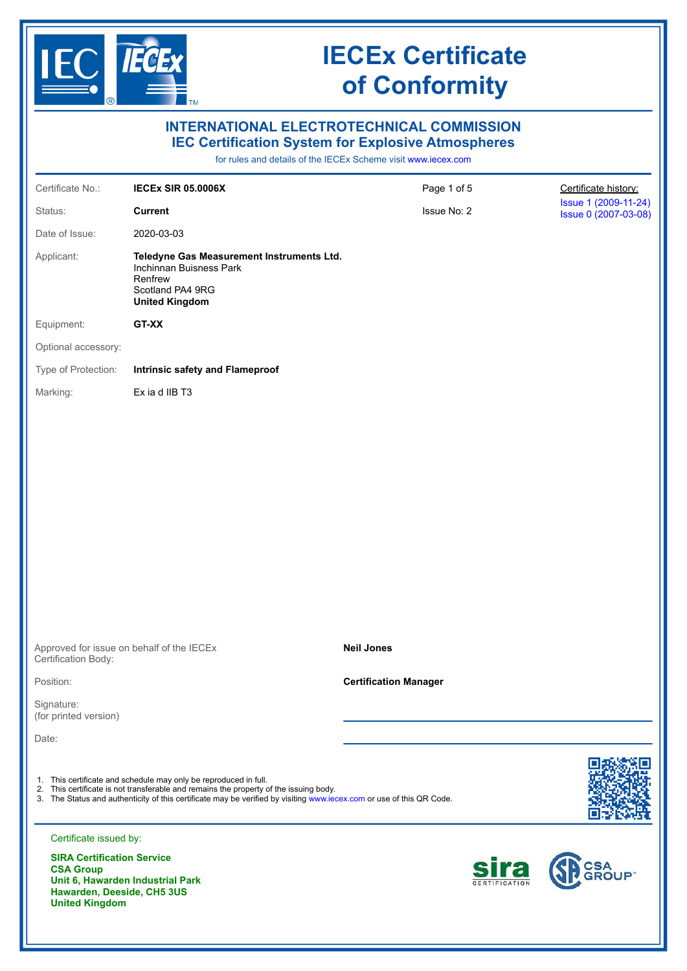

**Hawarden, Deeside, CH5 3US** 

**United Kingdom**

# **IECEx Certificate of Conformity**

| <b>INTERNATIONAL ELECTROTECHNICAL COMMISSION</b><br><b>IEC Certification System for Explosive Atmospheres</b><br>for rules and details of the IECEx Scheme visit www.iecex.com |                                                                                                                                                                                                                                                                                   |                              |  |                                              |  |
|--------------------------------------------------------------------------------------------------------------------------------------------------------------------------------|-----------------------------------------------------------------------------------------------------------------------------------------------------------------------------------------------------------------------------------------------------------------------------------|------------------------------|--|----------------------------------------------|--|
| Certificate No.:                                                                                                                                                               | <b>IECEX SIR 05.0006X</b>                                                                                                                                                                                                                                                         | Page 1 of 5                  |  | Certificate history:                         |  |
| Status:                                                                                                                                                                        | <b>Current</b>                                                                                                                                                                                                                                                                    | Issue No: 2                  |  | Issue 1 (2009-11-24)<br>Issue 0 (2007-03-08) |  |
| Date of Issue:                                                                                                                                                                 | 2020-03-03                                                                                                                                                                                                                                                                        |                              |  |                                              |  |
| Applicant:                                                                                                                                                                     | Teledyne Gas Measurement Instruments Ltd.<br>Inchinnan Buisness Park<br>Renfrew<br>Scotland PA4 9RG<br><b>United Kingdom</b>                                                                                                                                                      |                              |  |                                              |  |
| Equipment:                                                                                                                                                                     | GT-XX                                                                                                                                                                                                                                                                             |                              |  |                                              |  |
| Optional accessory:                                                                                                                                                            |                                                                                                                                                                                                                                                                                   |                              |  |                                              |  |
| Type of Protection:                                                                                                                                                            | <b>Intrinsic safety and Flameproof</b>                                                                                                                                                                                                                                            |                              |  |                                              |  |
| Marking:                                                                                                                                                                       | Ex ia d IIB T3                                                                                                                                                                                                                                                                    |                              |  |                                              |  |
|                                                                                                                                                                                |                                                                                                                                                                                                                                                                                   |                              |  |                                              |  |
| Approved for issue on behalf of the IECEx<br>Certification Body:                                                                                                               |                                                                                                                                                                                                                                                                                   | <b>Neil Jones</b>            |  |                                              |  |
| Position:                                                                                                                                                                      |                                                                                                                                                                                                                                                                                   | <b>Certification Manager</b> |  |                                              |  |
| Signature:<br>(for printed version)                                                                                                                                            |                                                                                                                                                                                                                                                                                   |                              |  |                                              |  |
| Date:                                                                                                                                                                          |                                                                                                                                                                                                                                                                                   |                              |  |                                              |  |
|                                                                                                                                                                                | 1. This certificate and schedule may only be reproduced in full.<br>2. This certificate is not transferable and remains the property of the issuing body.<br>3. The Status and authenticity of this certificate may be verified by visiting www.iecex.com or use of this QR Code. |                              |  |                                              |  |
| Certificate issued by:                                                                                                                                                         |                                                                                                                                                                                                                                                                                   |                              |  |                                              |  |
| <b>SIRA Certification Service</b><br><b>CSA Group</b>                                                                                                                          | Unit 6, Hawarden Industrial Park                                                                                                                                                                                                                                                  |                              |  |                                              |  |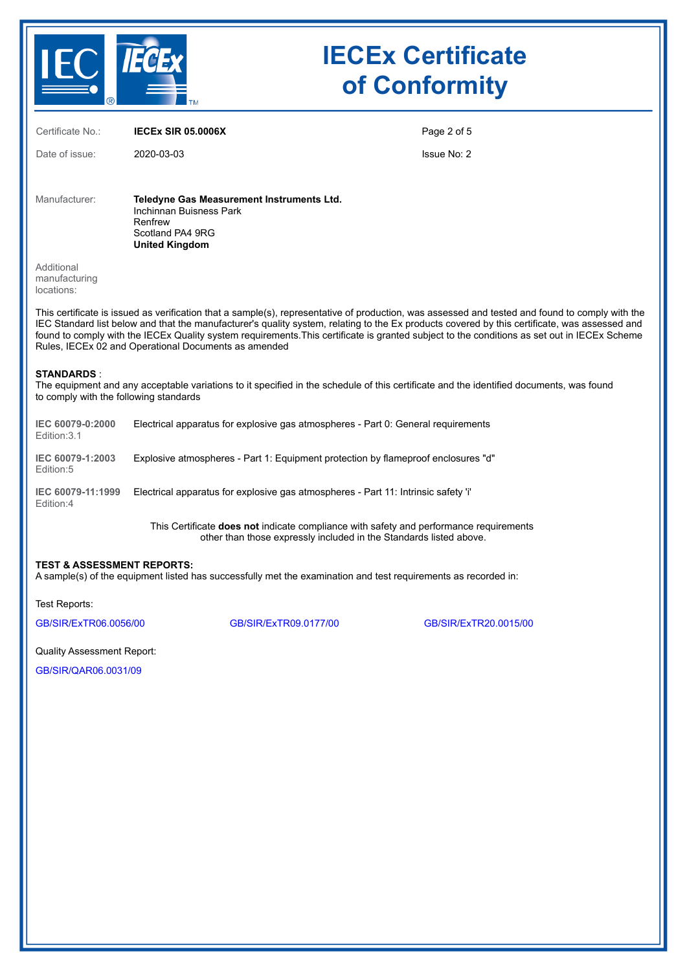

| Certificate No.:                                                                                                                                                                                                                                                                                                                                                                                                                                                                                         | <b>IECEX SIR 05.0006X</b>                                                                                                           | Page 2 of 5           |  |  |  |
|----------------------------------------------------------------------------------------------------------------------------------------------------------------------------------------------------------------------------------------------------------------------------------------------------------------------------------------------------------------------------------------------------------------------------------------------------------------------------------------------------------|-------------------------------------------------------------------------------------------------------------------------------------|-----------------------|--|--|--|
|                                                                                                                                                                                                                                                                                                                                                                                                                                                                                                          |                                                                                                                                     |                       |  |  |  |
| Date of issue:                                                                                                                                                                                                                                                                                                                                                                                                                                                                                           | 2020-03-03                                                                                                                          | Issue No: 2           |  |  |  |
| Manufacturer:                                                                                                                                                                                                                                                                                                                                                                                                                                                                                            | Teledyne Gas Measurement Instruments Ltd.<br><b>Inchinnan Buisness Park</b><br>Renfrew<br>Scotland PA4 9RG<br><b>United Kingdom</b> |                       |  |  |  |
| Additional<br>manufacturing<br>locations:                                                                                                                                                                                                                                                                                                                                                                                                                                                                |                                                                                                                                     |                       |  |  |  |
| This certificate is issued as verification that a sample(s), representative of production, was assessed and tested and found to comply with the<br>IEC Standard list below and that the manufacturer's quality system, relating to the Ex products covered by this certificate, was assessed and<br>found to comply with the IECEx Quality system requirements. This certificate is granted subject to the conditions as set out in IECEx Scheme<br>Rules, IECEx 02 and Operational Documents as amended |                                                                                                                                     |                       |  |  |  |
| <b>STANDARDS:</b><br>The equipment and any acceptable variations to it specified in the schedule of this certificate and the identified documents, was found<br>to comply with the following standards                                                                                                                                                                                                                                                                                                   |                                                                                                                                     |                       |  |  |  |
| IEC 60079-0:2000<br>Edition: 3.1                                                                                                                                                                                                                                                                                                                                                                                                                                                                         | Electrical apparatus for explosive gas atmospheres - Part 0: General requirements                                                   |                       |  |  |  |
| IEC 60079-1:2003<br>Edition:5                                                                                                                                                                                                                                                                                                                                                                                                                                                                            | Explosive atmospheres - Part 1: Equipment protection by flameproof enclosures "d"                                                   |                       |  |  |  |
| IEC 60079-11:1999<br>Edition:4                                                                                                                                                                                                                                                                                                                                                                                                                                                                           | Electrical apparatus for explosive gas atmospheres - Part 11: Intrinsic safety 'i'                                                  |                       |  |  |  |
| This Certificate does not indicate compliance with safety and performance requirements<br>other than those expressly included in the Standards listed above.                                                                                                                                                                                                                                                                                                                                             |                                                                                                                                     |                       |  |  |  |
| <b>TEST &amp; ASSESSMENT REPORTS:</b><br>A sample(s) of the equipment listed has successfully met the examination and test requirements as recorded in:                                                                                                                                                                                                                                                                                                                                                  |                                                                                                                                     |                       |  |  |  |
| Test Reports:                                                                                                                                                                                                                                                                                                                                                                                                                                                                                            |                                                                                                                                     |                       |  |  |  |
| GB/SIR/ExTR06.0056/00                                                                                                                                                                                                                                                                                                                                                                                                                                                                                    | GB/SIR/ExTR09.0177/00                                                                                                               | GB/SIR/ExTR20.0015/00 |  |  |  |

Quality Assessment Report:

[GB/SIR/QAR06.0031/09](https://www.iecex-certs.com/deliverables/REPORT/63548/view)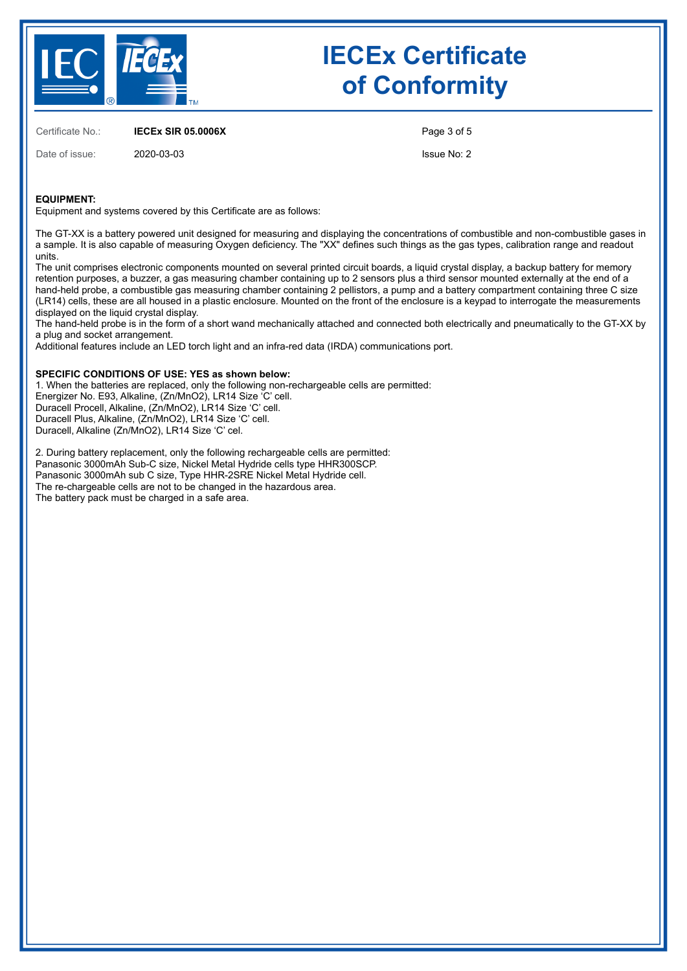

Certificate No.: **IECEx SIR 05.0006X**

Date of issue: 2020-03-03

Page 3 of 5

Issue No: 2

### **EQUIPMENT:**

Equipment and systems covered by this Certificate are as follows:

The GT-XX is a battery powered unit designed for measuring and displaying the concentrations of combustible and non-combustible gases in a sample. It is also capable of measuring Oxygen deficiency. The "XX" defines such things as the gas types, calibration range and readout units.

The unit comprises electronic components mounted on several printed circuit boards, a liquid crystal display, a backup battery for memory retention purposes, a buzzer, a gas measuring chamber containing up to 2 sensors plus a third sensor mounted externally at the end of a hand-held probe, a combustible gas measuring chamber containing 2 pellistors, a pump and a battery compartment containing three C size (LR14) cells, these are all housed in a plastic enclosure. Mounted on the front of the enclosure is a keypad to interrogate the measurements displayed on the liquid crystal display.

The hand-held probe is in the form of a short wand mechanically attached and connected both electrically and pneumatically to the GT-XX by a plug and socket arrangement.

Additional features include an LED torch light and an infra-red data (IRDA) communications port.

#### **SPECIFIC CONDITIONS OF USE: YES as shown below:**

1. When the batteries are replaced, only the following non-rechargeable cells are permitted: Energizer No. E93, Alkaline, (Zn/MnO2), LR14 Size 'C' cell. Duracell Procell, Alkaline, (Zn/MnO2), LR14 Size 'C' cell. Duracell Plus, Alkaline, (Zn/MnO2), LR14 Size 'C' cell. Duracell, Alkaline (Zn/MnO2), LR14 Size 'C' cel.

2. During battery replacement, only the following rechargeable cells are permitted: Panasonic 3000mAh Sub-C size, Nickel Metal Hydride cells type HHR300SCP. Panasonic 3000mAh sub C size, Type HHR-2SRE Nickel Metal Hydride cell. The re-chargeable cells are not to be changed in the hazardous area. The battery pack must be charged in a safe area.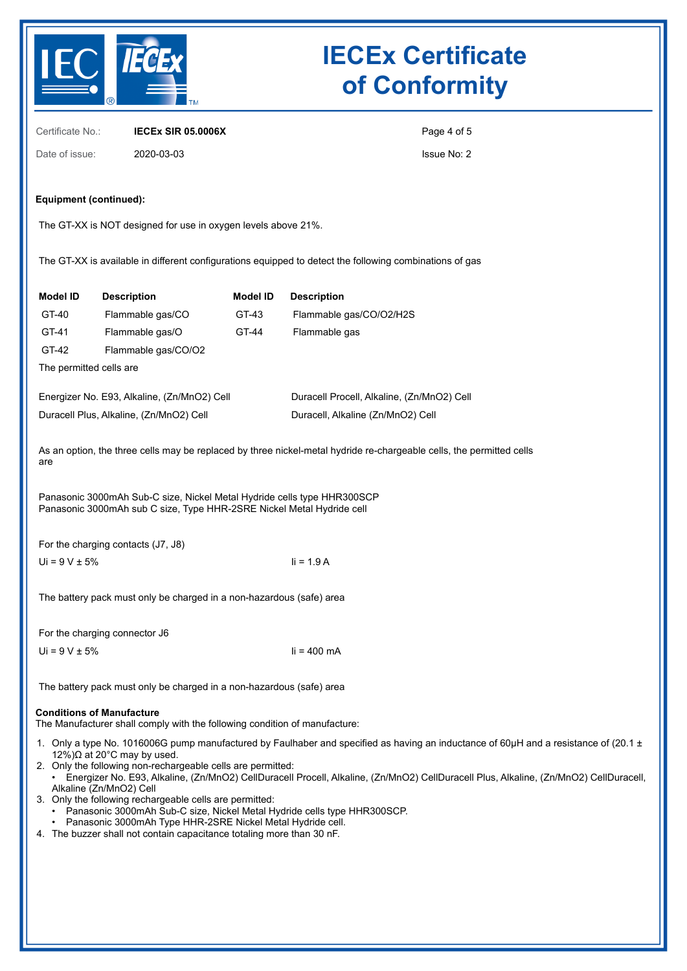| Ē | 57<br><b>TM</b> |
|---|-----------------|
|---|-----------------|

| Certificate No.:                                                                                                                                 | <b>IECEX SIR 05.0006X</b>                                                                                      |                 | Page 4 of 5                                                                                                                              |  |  |
|--------------------------------------------------------------------------------------------------------------------------------------------------|----------------------------------------------------------------------------------------------------------------|-----------------|------------------------------------------------------------------------------------------------------------------------------------------|--|--|
| Date of issue:                                                                                                                                   | 2020-03-03                                                                                                     |                 | Issue No: 2                                                                                                                              |  |  |
|                                                                                                                                                  |                                                                                                                |                 |                                                                                                                                          |  |  |
| <b>Equipment (continued):</b>                                                                                                                    |                                                                                                                |                 |                                                                                                                                          |  |  |
|                                                                                                                                                  | The GT-XX is NOT designed for use in oxygen levels above 21%.                                                  |                 |                                                                                                                                          |  |  |
| The GT-XX is available in different configurations equipped to detect the following combinations of gas                                          |                                                                                                                |                 |                                                                                                                                          |  |  |
| <b>Model ID</b>                                                                                                                                  | <b>Description</b>                                                                                             | <b>Model ID</b> | <b>Description</b>                                                                                                                       |  |  |
| GT-40                                                                                                                                            | Flammable gas/CO                                                                                               | GT-43           | Flammable gas/CO/O2/H2S                                                                                                                  |  |  |
| GT-41                                                                                                                                            | Flammable gas/O                                                                                                | GT-44           | Flammable gas                                                                                                                            |  |  |
| GT-42                                                                                                                                            | Flammable gas/CO/O2                                                                                            |                 |                                                                                                                                          |  |  |
| The permitted cells are                                                                                                                          |                                                                                                                |                 |                                                                                                                                          |  |  |
| Energizer No. E93, Alkaline, (Zn/MnO2) Cell                                                                                                      |                                                                                                                |                 | Duracell Procell, Alkaline, (Zn/MnO2) Cell                                                                                               |  |  |
|                                                                                                                                                  | Duracell Plus, Alkaline, (Zn/MnO2) Cell                                                                        |                 | Duracell, Alkaline (Zn/MnO2) Cell                                                                                                        |  |  |
| are                                                                                                                                              |                                                                                                                |                 | As an option, the three cells may be replaced by three nickel-metal hydride re-chargeable cells, the permitted cells                     |  |  |
| Panasonic 3000mAh Sub-C size, Nickel Metal Hydride cells type HHR300SCP<br>Panasonic 3000mAh sub C size, Type HHR-2SRE Nickel Metal Hydride cell |                                                                                                                |                 |                                                                                                                                          |  |  |
|                                                                                                                                                  | For the charging contacts (J7, J8)                                                                             |                 |                                                                                                                                          |  |  |
| $Ui = 9 V ± 5%$                                                                                                                                  |                                                                                                                |                 | $I = 1.9 A$                                                                                                                              |  |  |
| The battery pack must only be charged in a non-hazardous (safe) area                                                                             |                                                                                                                |                 |                                                                                                                                          |  |  |
|                                                                                                                                                  | For the charging connector J6                                                                                  |                 |                                                                                                                                          |  |  |
| Ui = $9 V ± 5%$                                                                                                                                  |                                                                                                                |                 | $li = 400$ mA                                                                                                                            |  |  |
|                                                                                                                                                  | The battery pack must only be charged in a non-hazardous (safe) area                                           |                 |                                                                                                                                          |  |  |
|                                                                                                                                                  | <b>Conditions of Manufacture</b><br>The Manufacturer shall comply with the following condition of manufacture: |                 |                                                                                                                                          |  |  |
|                                                                                                                                                  |                                                                                                                |                 | 1. Only a type No. 1016006G pump manufactured by Faulhaber and specified as having an inductance of 60µH and a resistance of (20.1 $\pm$ |  |  |
|                                                                                                                                                  | 12%) $\Omega$ at 20°C may by used.<br>2. Only the following non-rechargeable cells are permitted:              |                 |                                                                                                                                          |  |  |
|                                                                                                                                                  | Alkaline (Zn/MnO2) Cell                                                                                        |                 | Energizer No. E93, Alkaline, (Zn/MnO2) CellDuracell Procell, Alkaline, (Zn/MnO2) CellDuracell Plus, Alkaline, (Zn/MnO2) CellDuracell,    |  |  |
|                                                                                                                                                  | 3. Only the following rechargeable cells are permitted:                                                        |                 | • Panasonic 3000mAh Sub-C size, Nickel Metal Hydride cells type HHR300SCP.                                                               |  |  |
| Panasonic 3000mAh Type HHR-2SRE Nickel Metal Hydride cell.<br>$\bullet$<br>4. The buzzer shall not contain capacitance totaling more than 30 nF. |                                                                                                                |                 |                                                                                                                                          |  |  |